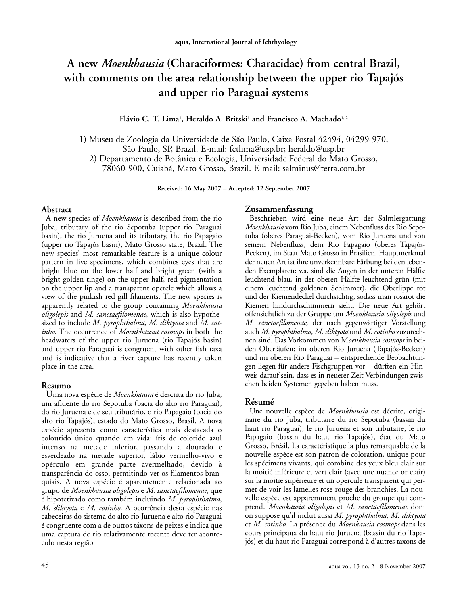# **A new** *Moenkhausia* **(Characiformes: Characidae) from central Brazil, with comments on the area relationship between the upper rio Tapajós and upper rio Paraguai systems**

**Flávio C. T. Lima1 , Heraldo A. Britski <sup>1</sup> and Francisco A. Machado1, <sup>2</sup>**

1) Museu de Zoologia da Universidade de São Paulo, Caixa Postal 42494, 04299-970, São Paulo, SP, Brazil. E-mail: fctlima@usp.br; heraldo@usp.br

2) Departamento de Botânica e Ecologia, Universidade Federal do Mato Grosso,

78060-900, Cuiabá, Mato Grosso, Brazil. E-mail: salminus@terra.com.br

**Received: 16 May 2007 – Accepted: 12 September 2007**

#### **Abstract**

A new species of *Moenkhausia* is described from the rio Juba, tributary of the rio Sepotuba (upper rio Paraguai basin), the rio Juruena and its tributary, the rio Papagaio (upper rio Tapajós basin), Mato Grosso state, Brazil. The new species' most remarkable feature is a unique colour pattern in live specimens, which combines eyes that are bright blue on the lower half and bright green (with a bright golden tinge) on the upper half, red pigmentation on the upper lip and a transparent opercle which allows a view of the pinkish red gill filaments. The new species is apparently related to the group containing *Moenkhausia oligolepis* and *M. sanctaefilomenae*, which is also hypothesized to include *M. pyrophthalma*, *M. diktyota* and *M. cotinho*. The occurrence of *Moenkhausia cosmops* in both the headwaters of the upper rio Juruena (rio Tapajós basin) and upper rio Paraguai is congruent with other fish taxa and is indicative that a river capture has recently taken place in the area.

#### **Resumo**

Uma nova espécie de *Moenkhausia* é descrita do rio Juba, um afluente do rio Sepotuba (bacia do alto rio Paraguai), do rio Juruena e de seu tributário, o rio Papagaio (bacia do alto rio Tapajós), estado do Mato Grosso, Brasil. A nova espécie apresenta como característica mais destacada o colourido único quando em vida: íris de colorido azul intenso na metade inferior, passando a dourado e esverdeado na metade superior, lábio vermelho-vivo e opérculo em grande parte avermelhado, devido à transparência do osso, permitindo ver os filamentos branquiais. A nova espécie é aparentemente relacionada ao grupo de *Moenkhausia oligolepis* e *M. sanctaefilomenae*, que é hipotetizado como também incluindo *M. pyrophthalma*, *M. diktyota* e *M. cotinho*. A ocorrência desta espécie nas cabeceiras do sistema do alto rio Juruena e alto rio Paraguai é congruente com a de outros táxons de peixes e indica que uma captura de rio relativamente recente deve ter acontecido nesta região.

#### **Zusammenfassung**

Beschrieben wird eine neue Art der Salmlergattung *Moenkhausia* vom Rio Juba, einem Nebenfluss des Rio Sepotuba (oberes Paraguai-Becken), vom Rio Juruena und von seinem Nebenfluss, dem Rio Papagaio (oberes Tapajós-Becken), im Staat Mato Grosso in Brasilien. Hauptmerkmal der neuen Art ist ihre unverkennbare Färbung bei den lebenden Exemplaren: v.a. sind die Augen in der unteren Hälfte leuchtend blau, in der oberen Hälfte leuchtend grün (mit einem leuchtend goldenen Schimmer), die Oberlippe rot und der Kiemendeckel durchsichtig, sodass man rosarot die Kiemen hindurchschimmern sieht. Die neue Art gehört offensichtlich zu der Gruppe um *Moenkhausia oligolepis* und *M. sanctaefilomenae,* der nach gegenwärtiger Vorstellung auch *M. pyrophthalma, M. diktyota* und *M. cotinho* zuzurechnen sind. Das Vorkommen von M*oenkhausia cosmops* in beiden Oberläufen: im oberen Rio Juruena (Tapajós-Becken) und im oberen Rio Paraguai – entsprechende Beobachtungen liegen für andere Fischgruppen vor – dürften ein Hinweis darauf sein, dass es in neuerer Zeit Verbindungen zwischen beiden Systemen gegeben haben muss.

#### **Résumé**

Une nouvelle espèce de *Moenkhausia* est décrite, originaire du rio Juba, tributaire du rio Sepotuba (bassin du haut rio Paraguai), le rio Juruena et son tributaire, le rio Papagaio (bassin du haut rio Tapajós), état du Mato Grosso, Brésil. La caractéristique la plus remarquable de la nouvelle espèce est son patron de coloration, unique pour les spécimens vivants, qui combine des yeux bleu clair sur la moitié inférieure et vert clair (avec une nuance or clair) sur la moitié supérieure et un opercule transparent qui permet de voir les lamelles rose rouge des branchies. La nouvelle espèce est apparemment proche du groupe qui comprend. *Moenkausia oligolepis* et *M. sanctaefilomenae* dont on suppose qu'il inclut aussi *M. pyrophthalma, M. diktyota* et *M. cotinho.* La présence du *Moenkausia cosmops* dans les cours principaux du haut rio Juruena (bassin du rio Tapajós) et du haut rio Paraguai correspond à d'autres taxons de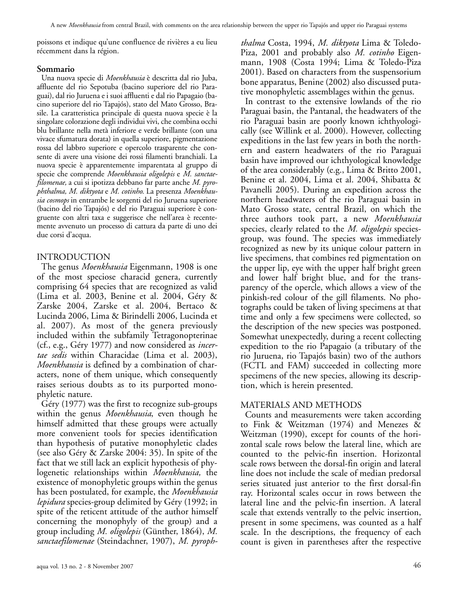poissons et indique qu'une confluence de rivières a eu lieu récemment dans la région.

### **Sommario**

Una nuova specie di *Moenkhausia* è descritta dal rio Juba, affluente del rio Sepotuba (bacino superiore del rio Paraguai), dal rio Juruena e i suoi affluenti e dal rio Papagaio (bacino superiore del rio Tapajós), stato del Mato Grosso, Brasile. La caratteristica principale di questa nuova specie è la singolare colorazione degli individui vivi, che combina occhi blu brillante nella metà inferiore e verde brillante (con una vivace sfumatura dorata) in quella superiore, pigmentazione rossa del labbro superiore e opercolo trasparente che consente di avere una visione dei rossi filamenti branchiali. La nuova specie è apparentemente imparentata al gruppo di specie che comprende *Moenkhausia oligolepis* e *M. sanctaefilomenae,* a cui si ipotizza debbano far parte anche *M. pyrophthalma, M. diktyota* e *M. cotinho.* La presenza *Moenkhausia cosmops* in entrambe le sorgenti del rio Juruena superiore (bacino del rio Tapajós) e del rio Paraguai superiore è congruente con altri taxa e suggerisce che nell'area è recentemente avvenuto un processo di cattura da parte di uno dei due corsi d'acqua.

# INTRODUCTION

The genus *Moenkhausia* Eigenmann, 1908 is one of the most speciose characid genera, currently comprising 64 species that are recognized as valid (Lima et al. 2003, Benine et al. 2004, Géry & Zarske 2004, Zarske et al. 2004, Bertaco & Lucinda 2006, Lima & Birindelli 2006, Lucinda et al. 2007). As most of the genera previously included within the subfamily Tetragonopterinae (cf., e.g., Géry 1977) and now considered as *incertae sedis* within Characidae (Lima et al. 2003), *Moenkhausia* is defined by a combination of characters, none of them unique, which consequently raises serious doubts as to its purported monophyletic nature.

Géry (1977) was the first to recognize sub-groups within the genus *Moenkhausia*, even though he himself admitted that these groups were actually more convenient tools for species identification than hypothesis of putative monophyletic clades (see also Géry & Zarske 2004: 35). In spite of the fact that we still lack an explicit hypothesis of phylogenetic relationships within *Moenkhausia,* the existence of monophyletic groups within the genus has been postulated, for example, the *Moenkhausia lepidura* species-group delimited by Géry (1992; in spite of the reticent attitude of the author himself concerning the monophyly of the group) and a group including *M. oligolepis* (Günther, 1864), *M. sanctaefilomenae* (Steindachner, 1907), *M. pyroph-*

aqua vol. 13 no. 2 - 8 November 2007 46

*thalma* Costa, 1994, *M. diktyota* Lima & Toledo-Piza, 2001 and probably also *M. cotinho* Eigenmann, 1908 (Costa 1994; Lima & Toledo-Piza 2001). Based on characters from the suspensorium bone apparatus, Benine (2002) also discussed putative monophyletic assemblages within the genus.

In contrast to the extensive lowlands of the rio Paraguai basin, the Pantanal, the headwaters of the rio Paraguai basin are poorly known ichthyologically (see Willink et al. 2000). However, collecting expeditions in the last few years in both the northern and eastern headwaters of the rio Paraguai basin have improved our ichthyological knowledge of the area considerably (e.g., Lima & Britto 2001, Benine et al. 2004, Lima et al. 2004, Shibatta & Pavanelli 2005). During an expedition across the northern headwaters of the rio Paraguai basin in Mato Grosso state, central Brazil, on which the three authors took part, a new *Moenkhausia* species, clearly related to the *M. oligolepis* speciesgroup, was found. The species was immediately recognized as new by its unique colour pattern in live specimens, that combines red pigmentation on the upper lip, eye with the upper half bright green and lower half bright blue, and for the transparency of the opercle, which allows a view of the pinkish-red colour of the gill filaments. No photographs could be taken of living specimens at that time and only a few specimens were collected, so the description of the new species was postponed. Somewhat unexpectedly, during a recent collecting expedition to the rio Papagaio (a tributary of the rio Juruena, rio Tapajós basin) two of the authors (FCTL and FAM) succeeded in collecting more specimens of the new species, allowing its description, which is herein presented.

## MATERIALS AND METHODS

Counts and measurements were taken according to Fink & Weitzman (1974) and Menezes & Weitzman (1990), except for counts of the horizontal scale rows below the lateral line, which are counted to the pelvic-fin insertion. Horizontal scale rows between the dorsal-fin origin and lateral line does not include the scale of median predorsal series situated just anterior to the first dorsal-fin ray. Horizontal scales occur in rows between the lateral line and the pelvic-fin insertion. A lateral scale that extends ventrally to the pelvic insertion, present in some specimens, was counted as a half scale. In the descriptions, the frequency of each count is given in parentheses after the respective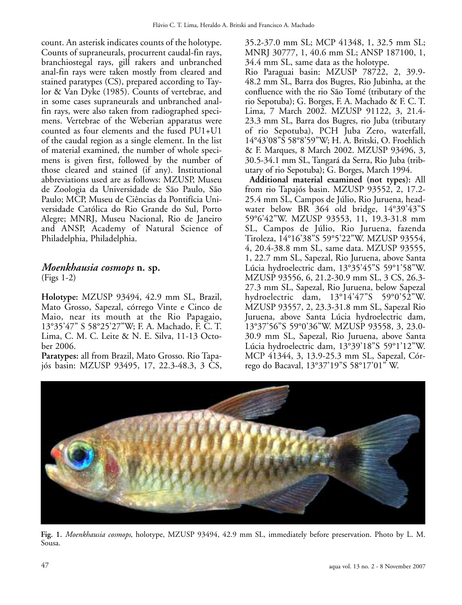count. An asterisk indicates counts of the holotype. Counts of supraneurals, procurrent caudal-fin rays, branchiostegal rays, gill rakers and unbranched anal-fin rays were taken mostly from cleared and stained paratypes (CS), prepared according to Taylor & Van Dyke (1985). Counts of vertebrae, and in some cases supraneurals and unbranched analfin rays, were also taken from radiographed specimens. Vertebrae of the Weberian apparatus were counted as four elements and the fused PU1+U1 of the caudal region as a single element. In the list of material examined, the number of whole specimens is given first, followed by the number of those cleared and stained (if any). Institutional abbreviations used are as follows: MZUSP, Museu de Zoologia da Universidade de São Paulo, São Paulo; MCP, Museu de Ciências da Pontifícia Universidade Católica do Rio Grande do Sul, Porto Alegre; MNRJ, Museu Nacional, Rio de Janeiro and ANSP, Academy of Natural Science of Philadelphia, Philadelphia.

## *Moenkhausia cosmops* **n. sp.** (Figs 1-2)

**Holotype:** MZUSP 93494, 42.9 mm SL, Brazil, Mato Grosso, Sapezal, córrego Vinte e Cinco de Maio, near its mouth at the Rio Papagaio, 13°35'47" S 58°25'27"W; F. A. Machado, F. C. T. Lima, C. M. C. Leite & N. E. Silva, 11-13 October 2006.

**Paratypes:** all from Brazil, Mato Grosso. Rio Tapajós basin: MZUSP 93495, 17, 22.3-48.3, 3 CS,

35.2-37.0 mm SL; MCP 41348, 1, 32.5 mm SL; MNRJ 30777, 1, 40.6 mm SL; ANSP 187100, 1, 34.4 mm SL, same data as the holotype.

Rio Paraguai basin: MZUSP 78722, 2, 39.9- 48.2 mm SL, Barra dos Bugres, Rio Jubinha, at the confluence with the rio São Tomé (tributary of the rio Sepotuba); G. Borges, F. A. Machado & F. C. T. Lima, 7 March 2002. MZUSP 91122, 3, 21.4- 23.3 mm SL, Barra dos Bugres, rio Juba (tributary of rio Sepotuba), PCH Juba Zero, waterfall, 14°43'08"S 58°8'59"W; H. A. Britski, O. Froehlich & F. Marques, 8 March 2002. MZUSP 93496, 3, 30.5-34.1 mm SL, Tangará da Serra, Rio Juba (tributary of rio Sepotuba); G. Borges, March 1994.

**Additional material examined (not types):** All from rio Tapajós basin. MZUSP 93552, 2, 17.2- 25.4 mm SL, Campos de Júlio, Rio Juruena, headwater below BR 364 old bridge, 14°39'43"S 59°6'42"W. MZUSP 93553, 11, 19.3-31.8 mm SL, Campos de Júlio, Rio Juruena, fazenda Tiroleza, 14°16'38"S 59°5'22"W. MZUSP 93554, 4, 20.4-38.8 mm SL, same data. MZUSP 93555, 1, 22.7 mm SL, Sapezal, Rio Juruena, above Santa Lúcia hydroelectric dam, 13°35'45"S 59°1'58"W. MZUSP 93556, 6, 21.2-30.9 mm SL, 3 CS, 26.3- 27.3 mm SL, Sapezal, Rio Juruena, below Sapezal hydroelectric dam, 13°14'47"S 59°0'52"W. MZUSP 93557, 2, 23.3-31.8 mm SL, Sapezal Rio Juruena, above Santa Lúcia hydroelectric dam, 13°37'56"S 59°0'36"W. MZUSP 93558, 3, 23.0- 30.9 mm SL, Sapezal, Rio Juruena, above Santa Lúcia hydroelectric dam, 13°39'18"S 59°1'12"W. MCP 41344, 3, 13.9-25.3 mm SL, Sapezal, Córrego do Bacaval, 13°37'19"S 58°17'01" W.



**Fig. 1.** *Moenkhausia cosmops*, holotype, MZUSP 93494, 42.9 mm SL, immediately before preservation. Photo by L. M. Sousa.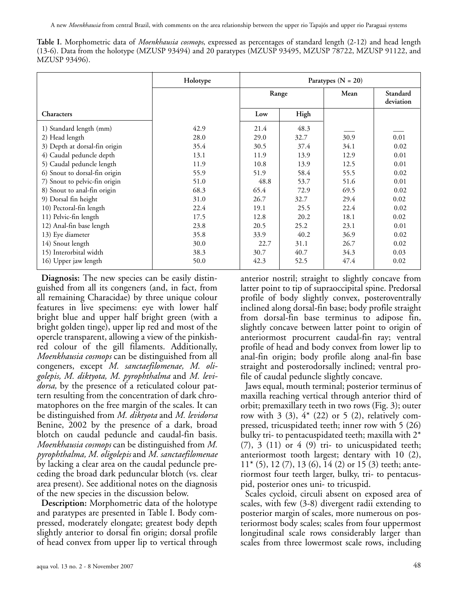A new *Moenkhausia* from central Brazil, with comments on the area relationship between the upper rio Tapajós and upper rio Paraguai systems

**Table I.** Morphometric data of *Moenkhausia cosmops*, expressed as percentages of standard length (2-12) and head length (13-6). Data from the holotype (MZUSP 93494) and 20 paratypes (MZUSP 93495, MZUSP 78722, MZUSP 91122, and MZUSP 93496).

|                               | Holotype | Paratypes $(N = 20)$ |      |      |                       |
|-------------------------------|----------|----------------------|------|------|-----------------------|
|                               |          | Range                |      | Mean | Standard<br>deviation |
| <b>Characters</b>             |          | Low                  | High |      |                       |
| 1) Standard length (mm)       | 42.9     | 21.4                 | 48.3 |      |                       |
| 2) Head length                | 28.0     | 29.0                 | 32.7 | 30.9 | 0.01                  |
| 3) Depth at dorsal-fin origin | 35.4     | 30.5                 | 37.4 | 34.1 | 0.02                  |
| 4) Caudal peduncle depth      | 13.1     | 11.9                 | 13.9 | 12.9 | 0.01                  |
| 5) Caudal peduncle length     | 11.9     | 10.8                 | 13.9 | 12.5 | 0.01                  |
| 6) Snout to dorsal-fin origin | 55.9     | 51.9                 | 58.4 | 55.5 | 0.02                  |
| 7) Snout to pelvic-fin origin | 51.0     | 48.8                 | 53.7 | 51.6 | 0.01                  |
| 8) Snout to anal-fin origin   | 68.3     | 65.4                 | 72.9 | 69.5 | 0.02                  |
| 9) Dorsal fin height          | 31.0     | 26.7                 | 32.7 | 29.4 | 0.02                  |
| 10) Pectoral-fin length       | 22.4     | 19.1                 | 25.5 | 22.4 | 0.02                  |
| 11) Pelvic-fin length         | 17.5     | 12.8                 | 20.2 | 18.1 | 0.02                  |
| 12) Anal-fin base length      | 23.8     | 20.5                 | 25.2 | 23.1 | 0.01                  |
| 13) Eye diameter              | 35.8     | 33.9                 | 40.2 | 36.9 | 0.02                  |
| 14) Snout length              | 30.0     | 22.7                 | 31.1 | 26.7 | 0.02                  |
| 15) Interorbital width        | 38.3     | 30.7                 | 40.7 | 34.3 | 0.03                  |
| 16) Upper jaw length          | 50.0     | 42.3                 | 52.5 | 47.4 | 0.02                  |

**Diagnosis:** The new species can be easily distinguished from all its congeners (and, in fact, from all remaining Characidae) by three unique colour features in live specimens: eye with lower half bright blue and upper half bright green (with a bright golden tinge), upper lip red and most of the opercle transparent, allowing a view of the pinkishred colour of the gill filaments. Additionally, *Moenkhausia cosmops* can be distinguished from all congeners, except *M. sanctaefilomenae, M. oligolepis, M. diktyota, M. pyrophthalma* and *M. levidorsa,* by the presence of a reticulated colour pattern resulting from the concentration of dark chromatophores on the free margin of the scales. It can be distinguished from *M. diktyota* and *M. levidorsa* Benine, 2002 by the presence of a dark, broad blotch on caudal peduncle and caudal-fin basis. *Moenkhausia cosmops* can be distinguished from *M. pyrophthalma, M. oligolepis* and *M. sanctaefilomenae* by lacking a clear area on the caudal peduncle preceding the broad dark peduncular blotch (vs. clear area present). See additional notes on the diagnosis of the new species in the discussion below.

**Description:** Morphometric data of the holotype and paratypes are presented in Table I. Body compressed, moderately elongate; greatest body depth slightly anterior to dorsal fin origin; dorsal profile of head convex from upper lip to vertical through anterior nostril; straight to slightly concave from latter point to tip of supraoccipital spine. Predorsal profile of body slightly convex, posteroventrally inclined along dorsal-fin base; body profile straight from dorsal-fin base terminus to adipose fin, slightly concave between latter point to origin of anteriormost procurrent caudal-fin ray; ventral profile of head and body convex from lower lip to anal-fin origin; body profile along anal-fin base straight and posterodorsally inclined; ventral profile of caudal peduncle slightly concave.

Jaws equal, mouth terminal; posterior terminus of maxilla reaching vertical through anterior third of orbit; premaxillary teeth in two rows (Fig. 3); outer row with  $3$  (3),  $4*$  (22) or  $5$  (2), relatively compressed, tricuspidated teeth; inner row with 5 (26) bulky tri- to pentacuspidated teeth; maxilla with 2\*  $(7)$ , 3  $(11)$  or 4  $(9)$  tri- to unicuspidated teeth; anteriormost tooth largest; dentary with 10 (2),  $11<sup>*</sup>$  (5), 12 (7), 13 (6), 14 (2) or 15 (3) teeth; anteriormost four teeth larger, bulky, tri- to pentacuspid, posterior ones uni- to tricuspid.

Scales cycloid, circuli absent on exposed area of scales, with few (3-8) divergent radii extending to posterior margin of scales, more numerous on posteriormost body scales; scales from four uppermost longitudinal scale rows considerably larger than scales from three lowermost scale rows, including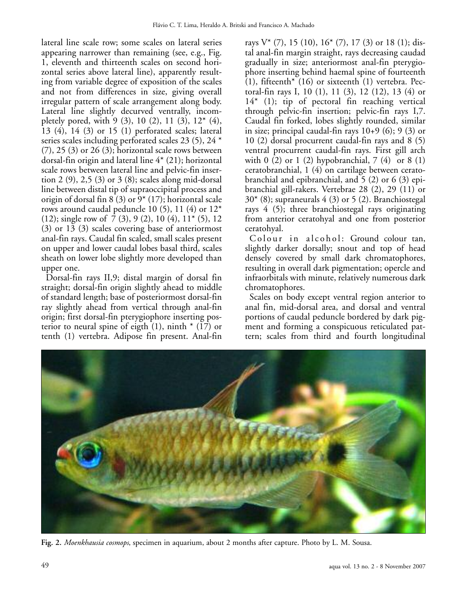lateral line scale row; some scales on lateral series appearing narrower than remaining (see, e.g., Fig. 1, eleventh and thirteenth scales on second horizontal series above lateral line), apparently resulting from variable degree of exposition of the scales and not from differences in size, giving overall irregular pattern of scale arrangement along body. Lateral line slightly decurved ventrally, incompletely pored, with 9 (3), 10 (2), 11 (3),  $12^*$  (4), 13 (4), 14 (3) or 15 (1) perforated scales; lateral series scales including perforated scales 23 (5), 24 \*  $(7)$ , 25  $(3)$  or 26  $(3)$ ; horizontal scale rows between dorsal-fin origin and lateral line 4\* (21); horizontal scale rows between lateral line and pelvic-fin insertion 2 (9), 2,5 (3) or 3 (8); scales along mid-dorsal line between distal tip of supraoccipital process and origin of dorsal fin 8 (3) or 9\* (17); horizontal scale rows around caudal peduncle 10 (5), 11 (4) or  $12^*$ (12); single row of 7 (3), 9 (2), 10 (4), 11\* (5), 12 (3) or 13 (3) scales covering base of anteriormost anal-fin rays. Caudal fin scaled, small scales present on upper and lower caudal lobes basal third, scales sheath on lower lobe slightly more developed than upper one.

Dorsal-fin rays II,9; distal margin of dorsal fin straight; dorsal-fin origin slightly ahead to middle of standard length; base of posteriormost dorsal-fin ray slightly ahead from vertical through anal-fin origin; first dorsal-fin pterygiophore inserting posterior to neural spine of eigth  $(1)$ , ninth  $*(17)$  or tenth (1) vertebra. Adipose fin present. Anal-fin

rays  $V^*(7)$ , 15 (10), 16<sup>\*</sup> (7), 17 (3) or 18 (1); distal anal-fin margin straight, rays decreasing caudad gradually in size; anteriormost anal-fin pterygiophore inserting behind haemal spine of fourteenth (1), fifteenth<sup>\*</sup> (16) or sixteenth (1) vertebra. Pectoral-fin rays I, 10 (1), 11 (3), 12 (12), 13 (4) or 14\* (1); tip of pectoral fin reaching vertical through pelvic-fin insertion; pelvic-fin rays I,7. Caudal fin forked, lobes slightly rounded, similar in size; principal caudal-fin rays  $10+9$  (6); 9 (3) or 10 (2) dorsal procurrent caudal-fin rays and 8 (5) ventral procurrent caudal-fin rays. First gill arch with 0 (2) or 1 (2) hypobranchial, 7 (4) or 8 (1) ceratobranchial, 1 (4) on cartilage between ceratobranchial and epibranchial, and 5 (2) or 6 (3) epibranchial gill-rakers. Vertebrae 28 (2), 29 (11) or  $30<sup>*</sup>$  (8); supraneurals 4 (3) or 5 (2). Branchiostegal rays 4 (5); three branchiostegal rays originating from anterior ceratohyal and one from posterior ceratohyal.

Colour in alcohol: Ground colour tan, slightly darker dorsally; snout and top of head densely covered by small dark chromatophores, resulting in overall dark pigmentation; opercle and infraorbitals with minute, relatively numerous dark chromatophores.

Scales on body except ventral region anterior to anal fin, mid-dorsal area, and dorsal and ventral portions of caudal peduncle bordered by dark pigment and forming a conspicuous reticulated pattern; scales from third and fourth longitudinal



**Fig. 2.** *Moenkhausia cosmops*, specimen in aquarium, about 2 months after capture. Photo by L. M. Sousa.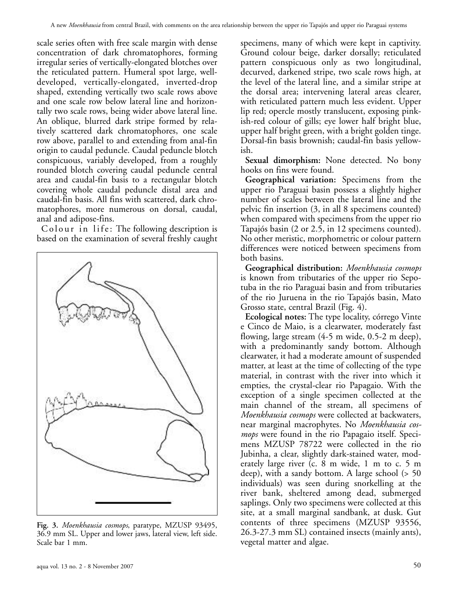scale series often with free scale margin with dense concentration of dark chromatophores, forming irregular series of vertically-elongated blotches over the reticulated pattern. Humeral spot large, welldeveloped, vertically-elongated, inverted-drop shaped, extending vertically two scale rows above and one scale row below lateral line and horizontally two scale rows, being wider above lateral line. An oblique, blurred dark stripe formed by relatively scattered dark chromatophores, one scale row above, parallel to and extending from anal-fin origin to caudal peduncle. Caudal peduncle blotch conspicuous, variably developed, from a roughly rounded blotch covering caudal peduncle central area and caudal-fin basis to a rectangular blotch covering whole caudal peduncle distal area and caudal-fin basis. All fins with scattered, dark chromatophores, more numerous on dorsal, caudal, anal and adipose-fins.

Colour in life: The following description is based on the examination of several freshly caught



**Fig. 3.** *Moenkhausia cosmops*, paratype, MZUSP 93495, 36.9 mm SL. Upper and lower jaws, lateral view, left side. Scale bar 1 mm.

specimens, many of which were kept in captivity. Ground colour beige, darker dorsally; reticulated pattern conspicuous only as two longitudinal, decurved, darkened stripe, two scale rows high, at the level of the lateral line, and a similar stripe at the dorsal area; intervening lateral areas clearer, with reticulated pattern much less evident. Upper lip red; opercle mostly translucent, exposing pinkish-red colour of gills; eye lower half bright blue, upper half bright green, with a bright golden tinge. Dorsal-fin basis brownish; caudal-fin basis yellowish.

**Sexual dimorphism:** None detected. No bony hooks on fins were found.

**Geographical variation:** Specimens from the upper rio Paraguai basin possess a slightly higher number of scales between the lateral line and the pelvic fin insertion (3, in all 8 specimens counted) when compared with specimens from the upper rio Tapajós basin (2 or 2.5, in 12 specimens counted). No other meristic, morphometric or colour pattern differences were noticed between specimens from both basins.

**Geographical distribution:** *Moenkhausia cosmops* is known from tributaries of the upper rio Sepotuba in the rio Paraguai basin and from tributaries of the rio Juruena in the rio Tapajós basin, Mato Grosso state, central Brazil (Fig. 4).

**Ecological notes:** The type locality, córrego Vinte e Cinco de Maio, is a clearwater, moderately fast flowing, large stream (4-5 m wide, 0.5-2 m deep), with a predominantly sandy bottom. Although clearwater, it had a moderate amount of suspended matter, at least at the time of collecting of the type material, in contrast with the river into which it empties, the crystal-clear rio Papagaio. With the exception of a single specimen collected at the main channel of the stream, all specimens of *Moenkhausia cosmops* were collected at backwaters, near marginal macrophytes. No *Moenkhausia cosmops* were found in the rio Papagaio itself. Specimens MZUSP 78722 were collected in the rio Jubinha, a clear, slightly dark-stained water, moderately large river (c. 8 m wide, 1 m to c. 5 m deep), with a sandy bottom. A large school (> 50 individuals) was seen during snorkelling at the river bank, sheltered among dead, submerged saplings. Only two specimens were collected at this site, at a small marginal sandbank, at dusk. Gut contents of three specimens (MZUSP 93556, 26.3-27.3 mm SL) contained insects (mainly ants), vegetal matter and algae.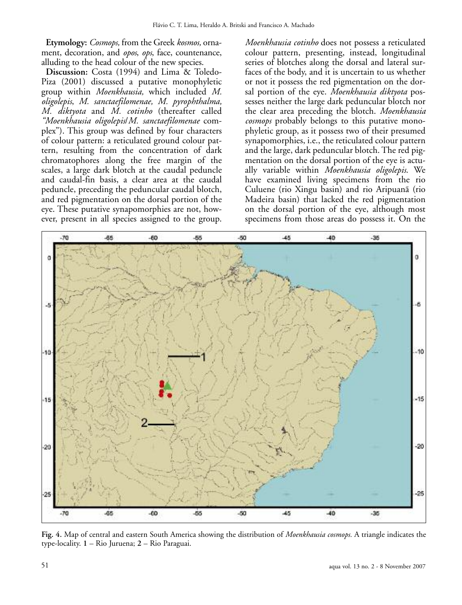**Etymology:** *Cosmops,* from the Greek *kosmos,* ornament, decoration, and *opos*, *ops*, face, countenance, alluding to the head colour of the new species.

**Discussion:** Costa (1994) and Lima & Toledo-Piza (2001) discussed a putative monophyletic group within *Moenkhausia,* which included *M. oligolepis*, *M. sanctaefilomenae, M. pyrophthalma, M. diktyota* and *M. cotinho* (thereafter called *"Moenkhausia oligolepis*/*M. sanctaefilomenae* complex"). This group was defined by four characters of colour pattern: a reticulated ground colour pattern, resulting from the concentration of dark chromatophores along the free margin of the scales, a large dark blotch at the caudal peduncle and caudal-fin basis, a clear area at the caudal peduncle, preceding the peduncular caudal blotch, and red pigmentation on the dorsal portion of the eye. These putative synapomorphies are not, however, present in all species assigned to the group.

*Moenkhausia cotinho* does not possess a reticulated colour pattern, presenting, instead, longitudinal series of blotches along the dorsal and lateral surfaces of the body, and it is uncertain to us whether or not it possess the red pigmentation on the dorsal portion of the eye. *Moenkhausia diktyota* possesses neither the large dark peduncular blotch nor the clear area preceding the blotch. *Moenkhausia cosmops* probably belongs to this putative monophyletic group, as it possess two of their presumed synapomorphies, i.e., the reticulated colour pattern and the large, dark peduncular blotch. The red pigmentation on the dorsal portion of the eye is actually variable within *Moenkhausia oligolepis*. We have examined living specimens from the rio Culuene (rio Xingu basin) and rio Aripuanã (rio Madeira basin) that lacked the red pigmentation on the dorsal portion of the eye, although most specimens from those areas do possess it. On the



**Fig. 4.** Map of central and eastern South America showing the distribution of *Moenkhausia cosmops.* A triangle indicates the type-locality. **1** – Rio Juruena; **2** – Rio Paraguai.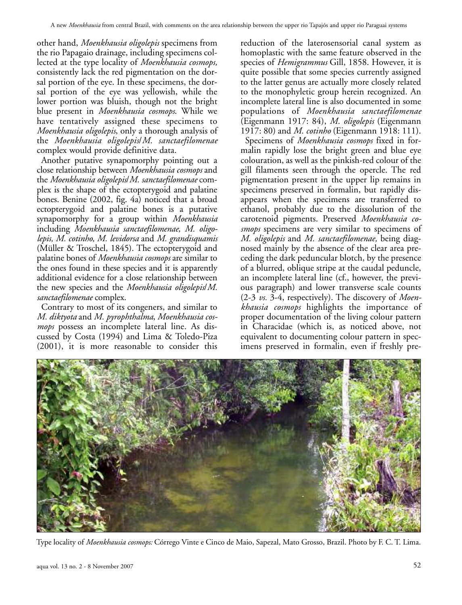other hand, *Moenkhausia oligolepis* specimens from the rio Papagaio drainage, including specimens collected at the type locality of *Moenkhausia cosmops,* consistently lack the red pigmentation on the dorsal portion of the eye. In these specimens, the dorsal portion of the eye was yellowish, while the lower portion was bluish, though not the bright blue present in *Moenkhausia cosmops*. While we have tentatively assigned these specimens to *Moenkhausia oligolepis*, only a thorough analysis of the *Moenkhausia oligolepis*/*M. sanctaefilomenae* complex would provide definitive data.

Another putative synapomorphy pointing out a close relationship between *Moenkhausia cosmops* and the *Moenkhausia oligolepis*/*M. sanctaefilomenae* complex is the shape of the ectopterygoid and palatine bones. Benine (2002, fig. 4a) noticed that a broad ectopterygoid and palatine bones is a putative synapomorphy for a group within *Moenkhausia* including *Moenkhausia sanctaefilomenae, M. oligolepis, M. cotinho, M. levidorsa* and *M. grandisquamis* (Müller & Troschel, 1845). The ectopterygoid and palatine bones of *Moenkhausia cosmops* are similar to the ones found in these species and it is apparently additional evidence for a close relationship between the new species and the *Moenkhausia oligolepis*/*M. sanctaefilomenae* complex.

Contrary to most of its congeners, and similar to *M. diktyota* and *M. pyrophthalma*, *Moenkhausia cosmops* possess an incomplete lateral line. As discussed by Costa (1994) and Lima & Toledo-Piza (2001), it is more reasonable to consider this

reduction of the laterosensorial canal system as homoplastic with the same feature observed in the species of *Hemigrammus* Gill, 1858. However, it is quite possible that some species currently assigned to the latter genus are actually more closely related to the monophyletic group herein recognized. An incomplete lateral line is also documented in some populations of *Moenkhausia sanctaefilomenae* (Eigenmann 1917: 84), *M. oligolepis* (Eigenmann 1917: 80) and *M. cotinho* (Eigenmann 1918: 111).

Specimens of *Moenkhausia cosmops* fixed in formalin rapidly lose the bright green and blue eye colouration, as well as the pinkish-red colour of the gill filaments seen through the opercle. The red pigmentation present in the upper lip remains in specimens preserved in formalin, but rapidly disappears when the specimens are transferred to ethanol, probably due to the dissolution of the carotenoid pigments. Preserved *Moenkhausia cosmops* specimens are very similar to specimens of *M. oligolepis* and *M. sanctaefilomenae,* being diagnosed mainly by the absence of the clear area preceding the dark peduncular blotch, by the presence of a blurred, oblique stripe at the caudal peduncle, an incomplete lateral line (cf., however, the previous paragraph) and lower transverse scale counts (2-3 *vs.* 3-4, respectively). The discovery of *Moenkhausia cosmops* highlights the importance of proper documentation of the living colour pattern in Characidae (which is, as noticed above, not equivalent to documenting colour pattern in specimens preserved in formalin, even if freshly pre-



Type locality of *Moenkhausia cosmops:* Córrego Vinte e Cinco de Maio, Sapezal, Mato Grosso, Brazil. Photo by F. C. T. Lima.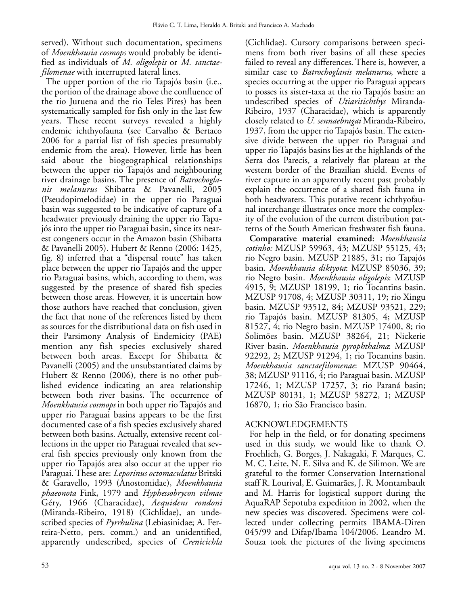served). Without such documentation, specimens of *Moenkhausia cosmops* would probably be identified as individuals of *M. oligolepis* or *M. sanctaefilomenae* with interrupted lateral lines.

The upper portion of the rio Tapajós basin (i.e., the portion of the drainage above the confluence of the rio Juruena and the rio Teles Pires) has been systematically sampled for fish only in the last few years. These recent surveys revealed a highly endemic ichthyofauna (see Carvalho & Bertaco 2006 for a partial list of fish species presumably endemic from the area). However, little has been said about the biogeographical relationships between the upper rio Tapajós and neighbouring river drainage basins. The presence of *Batrochoglanis melanurus* Shibatta & Pavanelli, 2005 (Pseudopimelodidae) in the upper rio Paraguai basin was suggested to be indicative of capture of a headwater previously draining the upper rio Tapajós into the upper rio Paraguai basin, since its nearest congeners occur in the Amazon basin (Shibatta & Pavanelli 2005). Hubert & Renno (2006: 1425, fig. 8) inferred that a "dispersal route" has taken place between the upper rio Tapajós and the upper rio Paraguai basins, which, according to them, was suggested by the presence of shared fish species between those areas. However, it is uncertain how those authors have reached that conclusion, given the fact that none of the references listed by them as sources for the distributional data on fish used in their Parsimony Analysis of Endemicity (PAE) mention any fish species exclusively shared between both areas. Except for Shibatta & Pavanelli (2005) and the unsubstantiated claims by Hubert & Renno (2006), there is no other published evidence indicating an area relationship between both river basins. The occurrence of *Moenkhausia cosmops* in both upper rio Tapajós and upper rio Paraguai basins appears to be the first documented case of a fish species exclusively shared between both basins. Actually, extensive recent collections in the upper rio Paraguai revealed that several fish species previously only known from the upper rio Tapajós area also occur at the upper rio Paraguai. These are: *Leporinus octomaculatus* Britski & Garavello, 1993 (Anostomidae), *Moenkhausia phaeonota* Fink, 1979 and *Hyphessobrycon vilmae* Géry, 1966 (Characidae), *Aequidens rondoni* (Miranda-Ribeiro, 1918) (Cichlidae), an undescribed species of *Pyrrhulina* (Lebiasinidae; A. Ferreira-Netto, pers. comm.) and an unidentified, apparently undescribed, species of *Crenicichla* (Cichlidae). Cursory comparisons between specimens from both river basins of all these species failed to reveal any differences. There is, however, a similar case to *Batrochoglanis melanurus*, where a species occurring at the upper rio Paraguai appears to posses its sister-taxa at the rio Tapajós basin: an undescribed species of *Utiaritichthys* Miranda-Ribeiro, 1937 (Characidae), which is apparently closely related to *U. sennaebragai* Miranda-Ribeiro, 1937, from the upper rio Tapajós basin. The extensive divide between the upper rio Paraguai and upper rio Tapajós basins lies at the highlands of the Serra dos Parecis, a relatively flat plateau at the western border of the Brazilian shield. Events of river capture in an apparently recent past probably explain the occurrence of a shared fish fauna in both headwaters. This putative recent ichthyofaunal interchange illustrates once more the complexity of the evolution of the current distribution patterns of the South American freshwater fish fauna.

**Comparative material examined:** *Moenkhausia cotinho:* MZUSP 59963, 43; MZUSP 55125, 43; rio Negro basin. MZUSP 21885, 31; rio Tapajós basin. *Moenkhausia diktyota*: MZUSP 85036, 39; rio Negro basin. *Moenkhausia oligolepis*: MZUSP 4915, 9; MZUSP 18199, 1; rio Tocantins basin. MZUSP 91708, 4; MZUSP 30311, 19; rio Xingu basin. MZUSP 93512, 84; MZUSP 93521, 229; rio Tapajós basin. MZUSP 81305, 4; MZUSP 81527, 4; rio Negro basin. MZUSP 17400, 8; rio Solimões basin. MZUSP 38264, 21; Nickerie River basin. *Moenkhausia pyrophthalma*: MZUSP 92292, 2; MZUSP 91294, 1; rio Tocantins basin. *Moenkhausia sanctaefilomenae*: MZUSP 90464, 38; MZUSP 91116, 4; rio Paraguai basin. MZUSP 17246, 1; MZUSP 17257, 3; rio Paraná basin; MZUSP 80131, 1; MZUSP 58272, 1; MZUSP 16870, 1; rio São Francisco basin.

## ACKNOWLEDGEMENTS

For help in the field, or for donating specimens used in this study, we would like to thank O. Froehlich, G. Borges, J. Nakagaki, F. Marques, C. M. C. Leite, N. E. Silva and K. de Silimon. We are grateful to the former Conservation International staff R. Lourival, E. Guimarães, J. R. Montambault and M. Harris for logistical support during the AquaRAP Sepotuba expedition in 2002, when the new species was discovered. Specimens were collected under collecting permits IBAMA-Diren 045/99 and Difap/Ibama 104/2006. Leandro M. Souza took the pictures of the living specimens